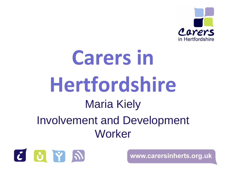

# **Carers in Hertfordshire** Maria Kiely Involvement and Development **Worker**

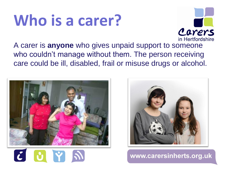# **Who is a carer?**



A carer is **anyone** who gives unpaid support to someone who couldn't manage without them. The person receiving care could be ill, disabled, frail or misuse drugs or alcohol.



 $C$   $C$   $Y$   $N$ 

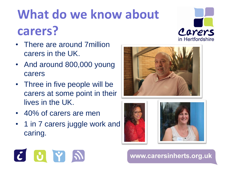## **What do we know about carers?**



- There are around 7million carers in the UK.
- And around 800,000 young carers
- Three in five people will be carers at some point in their lives in the UK.
- 40% of carers are men
- 1 in 7 carers juggle work and caring.







#### $C$   $O$   $\gamma$   $N$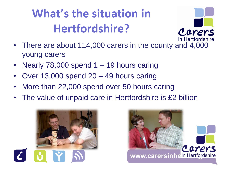#### **What's the situation in Hertfordshire?**



- There are about 114,000 carers in the county and 4,000 young carers
- Nearly  $78,000$  spend  $1 19$  hours caring
- Over 13,000 spend 20 49 hours caring
- More than 22,000 spend over 50 hours caring
- The value of unpaid care in Hertfordshire is £2 billion



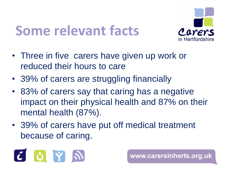#### **Some relevant facts**



- Three in five carers have given up work or reduced their hours to care
- 39% of carers are struggling financially
- 83% of carers say that caring has a negative impact on their physical health and 87% on their mental health (87%).
- 39% of carers have put off medical treatment because of caring.

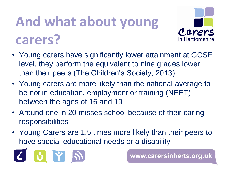# **And what about young carers?**



- Young carers have significantly lower attainment at GCSE level, they perform the equivalent to nine grades lower than their peers (The Children's Society, 2013)
- Young carers are more likely than the national average to be not in education, employment or training (NEET) between the ages of 16 and 19
- Around one in 20 misses school because of their caring responsibilities
- Young Carers are 1.5 times more likely than their peers to have special educational needs or a disability

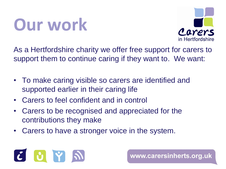# **Our work**



As a Hertfordshire charity we offer free support for carers to support them to continue caring if they want to. We want:

- To make caring visible so carers are identified and supported earlier in their caring life
- Carers to feel confident and in control
- Carers to be recognised and appreciated for the contributions they make
- Carers to have a stronger voice in the system.

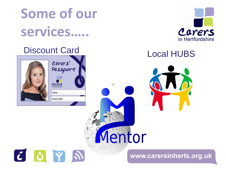## **Some of our services…..**



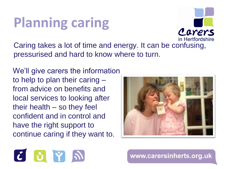#### **Planning caring**

Carers in Hertfordshire

Caring takes a lot of time and energy. It can be confusing, pressurised and hard to know where to turn.

We'll give carers the information to help to plan their caring – from advice on benefits and local services to looking after their health – so they feel confident and in control and have the right support to continue caring if they want to.



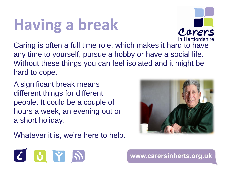# **Having a break**

Caring is often a full time role, which makes it hard to have any time to yourself, pursue a hobby or have a social life. Without these things you can feel isolated and it might be hard to cope.

A significant break means different things for different people. It could be a couple of hours a week, an evening out or a short holiday.

Whatever it is, we're here to help.







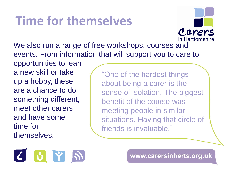#### **Time for themselves**

We also run a range of free workshops, courses and events. From information that will support you to care to opportunities to learn something different, "One of the hardest things about being a carer is the sense of isolation. The biggest benefit of the course was meeting people in similar situations. Having that circle of friends is invaluable."



a new skill or take

up a hobby, these

meet other carers

and have some

time for

themselves.

are a chance to do

www.carersinherts.org.uk

Carers

in Hertfordshire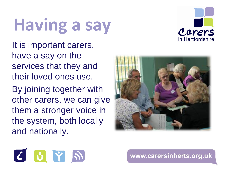# **Having a say**



It is important carers, have a say on the services that they and their loved ones use.

By joining together with other carers, we can give them a stronger voice in the system, both locally and nationally.



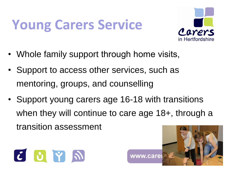### **Young Carers Service**



- Whole family support through home visits,
- Support to access other services, such as mentoring, groups, and counselling
- Support young carers age 16-18 with transitions when they will continue to care age 18+, through a transition assessment



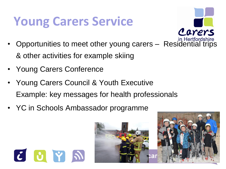#### **Young Carers Service**

- Carers
- Opportunities to meet other young carers Residential trips & other activities for example skiing
- Young Carers Conference

 $C$   $O$   $\gamma$   $N$ 

- Young Carers Council & Youth Executive Example: key messages for health professionals
- YC in Schools Ambassador programme

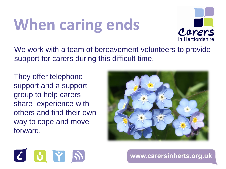# **When caring ends**



We work with a team of bereavement volunteers to provide support for carers during this difficult time.

They offer telephone support and a support group to help carers share experience with others and find their own way to cope and move forward.